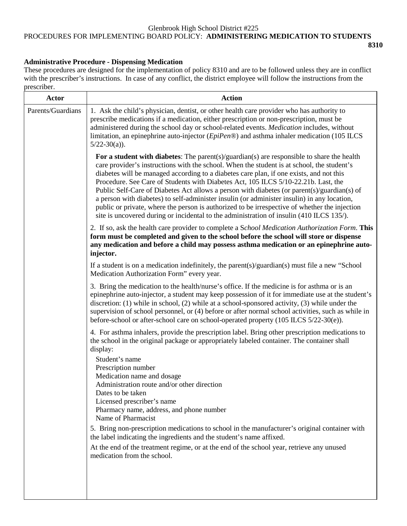#### Glenbrook High School District #225 PROCEDURES FOR IMPLEMENTING BOARD POLICY: **ADMINISTERING MEDICATION TO STUDENTS 8310**

## **Administrative Procedure - Dispensing Medication**

These procedures are designed for the implementation of policy 8310 and are to be followed unless they are in conflict with the prescriber's instructions. In case of any conflict, the district employee will follow the instructions from the prescriber.

| <b>Actor</b>      | <b>Action</b>                                                                                                                                                                                                                                                                                                                                                                                                                                                                                                                                                                                                                                                                                                                                                        |
|-------------------|----------------------------------------------------------------------------------------------------------------------------------------------------------------------------------------------------------------------------------------------------------------------------------------------------------------------------------------------------------------------------------------------------------------------------------------------------------------------------------------------------------------------------------------------------------------------------------------------------------------------------------------------------------------------------------------------------------------------------------------------------------------------|
| Parents/Guardians | 1. Ask the child's physician, dentist, or other health care provider who has authority to<br>prescribe medications if a medication, either prescription or non-prescription, must be<br>administered during the school day or school-related events. Medication includes, without<br>limitation, an epinephrine auto-injector $(EpiPen@)$ and asthma inhaler medication (105 ILCS<br>$5/22-30(a)$ ).                                                                                                                                                                                                                                                                                                                                                                 |
|                   | For a student with diabetes: The parent(s)/guardian(s) are responsible to share the health<br>care provider's instructions with the school. When the student is at school, the student's<br>diabetes will be managed according to a diabetes care plan, if one exists, and not this<br>Procedure. See Care of Students with Diabetes Act, 105 ILCS 5/10-22.21b. Last, the<br>Public Self-Care of Diabetes Act allows a person with diabetes (or parent(s)/guardian(s) of<br>a person with diabetes) to self-administer insulin (or administer insulin) in any location,<br>public or private, where the person is authorized to be irrespective of whether the injection<br>site is uncovered during or incidental to the administration of insulin (410 ILCS 135/). |
|                   | 2. If so, ask the health care provider to complete a School Medication Authorization Form. This<br>form must be completed and given to the school before the school will store or dispense<br>any medication and before a child may possess asthma medication or an epinephrine auto-<br>injector.                                                                                                                                                                                                                                                                                                                                                                                                                                                                   |
|                   | If a student is on a medication indefinitely, the parent(s)/guardian(s) must file a new "School<br>Medication Authorization Form" every year.                                                                                                                                                                                                                                                                                                                                                                                                                                                                                                                                                                                                                        |
|                   | 3. Bring the medication to the health/nurse's office. If the medicine is for asthma or is an<br>epinephrine auto-injector, a student may keep possession of it for immediate use at the student's<br>discretion: $(1)$ while in school, $(2)$ while at a school-sponsored activity, $(3)$ while under the<br>supervision of school personnel, or (4) before or after normal school activities, such as while in<br>before-school or after-school care on school-operated property $(105$ ILCS $5/22-30(e)$ ).                                                                                                                                                                                                                                                        |
|                   | 4. For asthma inhalers, provide the prescription label. Bring other prescription medications to<br>the school in the original package or appropriately labeled container. The container shall<br>display:                                                                                                                                                                                                                                                                                                                                                                                                                                                                                                                                                            |
|                   | Student's name<br>Prescription number<br>Medication name and dosage<br>Administration route and/or other direction<br>Dates to be taken<br>Licensed prescriber's name<br>Pharmacy name, address, and phone number<br>Name of Pharmacist                                                                                                                                                                                                                                                                                                                                                                                                                                                                                                                              |
|                   | 5. Bring non-prescription medications to school in the manufacturer's original container with<br>the label indicating the ingredients and the student's name affixed.                                                                                                                                                                                                                                                                                                                                                                                                                                                                                                                                                                                                |
|                   | At the end of the treatment regime, or at the end of the school year, retrieve any unused<br>medication from the school.                                                                                                                                                                                                                                                                                                                                                                                                                                                                                                                                                                                                                                             |
|                   |                                                                                                                                                                                                                                                                                                                                                                                                                                                                                                                                                                                                                                                                                                                                                                      |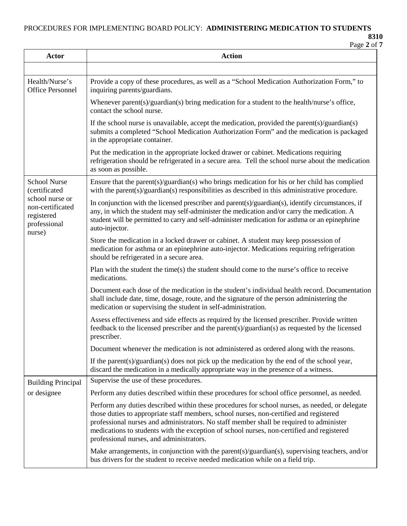PROCEDURES FOR IMPLEMENTING BOARD POLICY: **ADMINISTERING MEDICATION TO STUDENTS**

**8310** Page **2** of **7**

| Actor                                                                       | <b>Action</b>                                                                                                                                                                                                                                                                                                                                                                                                                |
|-----------------------------------------------------------------------------|------------------------------------------------------------------------------------------------------------------------------------------------------------------------------------------------------------------------------------------------------------------------------------------------------------------------------------------------------------------------------------------------------------------------------|
|                                                                             |                                                                                                                                                                                                                                                                                                                                                                                                                              |
| Health/Nurse's<br><b>Office Personnel</b>                                   | Provide a copy of these procedures, as well as a "School Medication Authorization Form," to<br>inquiring parents/guardians.                                                                                                                                                                                                                                                                                                  |
|                                                                             | Whenever parent(s)/guardian(s) bring medication for a student to the health/nurse's office,<br>contact the school nurse.                                                                                                                                                                                                                                                                                                     |
|                                                                             | If the school nurse is unavailable, accept the medication, provided the parent(s)/guardian(s)<br>submits a completed "School Medication Authorization Form" and the medication is packaged<br>in the appropriate container.                                                                                                                                                                                                  |
|                                                                             | Put the medication in the appropriate locked drawer or cabinet. Medications requiring<br>refrigeration should be refrigerated in a secure area. Tell the school nurse about the medication<br>as soon as possible.                                                                                                                                                                                                           |
| <b>School Nurse</b><br>(certificated                                        | Ensure that the parent(s)/guardian(s) who brings medication for his or her child has complied<br>with the parent(s)/guardian(s) responsibilities as described in this administrative procedure.                                                                                                                                                                                                                              |
| school nurse or<br>non-certificated<br>registered<br>professional<br>nurse) | In conjunction with the licensed prescriber and parent(s)/guardian(s), identify circumstances, if<br>any, in which the student may self-administer the medication and/or carry the medication. A<br>student will be permitted to carry and self-administer medication for asthma or an epinephrine<br>auto-injector.                                                                                                         |
|                                                                             | Store the medication in a locked drawer or cabinet. A student may keep possession of<br>medication for asthma or an epinephrine auto-injector. Medications requiring refrigeration<br>should be refrigerated in a secure area.                                                                                                                                                                                               |
|                                                                             | Plan with the student the time(s) the student should come to the nurse's office to receive<br>medications.                                                                                                                                                                                                                                                                                                                   |
|                                                                             | Document each dose of the medication in the student's individual health record. Documentation<br>shall include date, time, dosage, route, and the signature of the person administering the<br>medication or supervising the student in self-administration.                                                                                                                                                                 |
|                                                                             | Assess effectiveness and side effects as required by the licensed prescriber. Provide written<br>feedback to the licensed prescriber and the parent(s)/guardian(s) as requested by the licensed<br>prescriber.                                                                                                                                                                                                               |
|                                                                             | Document whenever the medication is not administered as ordered along with the reasons.                                                                                                                                                                                                                                                                                                                                      |
|                                                                             | If the parent(s)/guardian(s) does not pick up the medication by the end of the school year,<br>discard the medication in a medically appropriate way in the presence of a witness.                                                                                                                                                                                                                                           |
| <b>Building Principal</b>                                                   | Supervise the use of these procedures.                                                                                                                                                                                                                                                                                                                                                                                       |
| or designee                                                                 | Perform any duties described within these procedures for school office personnel, as needed.                                                                                                                                                                                                                                                                                                                                 |
|                                                                             | Perform any duties described within these procedures for school nurses, as needed, or delegate<br>those duties to appropriate staff members, school nurses, non-certified and registered<br>professional nurses and administrators. No staff member shall be required to administer<br>medications to students with the exception of school nurses, non-certified and registered<br>professional nurses, and administrators. |
|                                                                             | Make arrangements, in conjunction with the parent(s)/guardian(s), supervising teachers, and/or<br>bus drivers for the student to receive needed medication while on a field trip.                                                                                                                                                                                                                                            |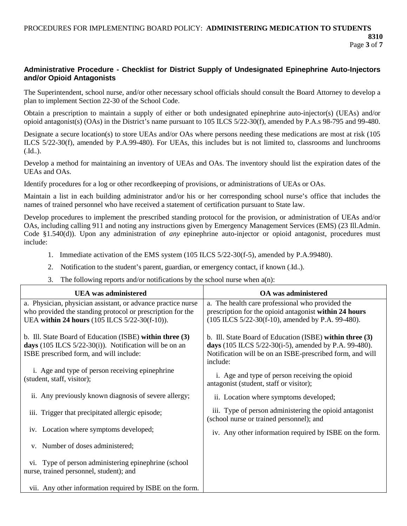```
Page 3 of 7
```
## **Administrative Procedure - Checklist for District Supply of Undesignated Epinephrine Auto-Injectors and/or Opioid Antagonists**

The Superintendent, school nurse, and/or other necessary school officials should consult the Board Attorney to develop a plan to implement Section 22-30 of the School Code.

Obtain a prescription to maintain a supply of either or both undesignated epinephrine auto-injector(s) (UEAs) and/or opioid antagonist(s) (OAs) in the District's name pursuant to 105 ILCS 5/22-30(f), amended by P.A.s 98-795 and 99-480.

Designate a secure location(s) to store UEAs and/or OAs where persons needing these medications are most at risk (105 ILCS 5/22-30(f), amended by P.A.99-480). For UEAs, this includes but is not limited to, classrooms and lunchrooms  $(J_{\mathsf{U}}\mathbf{I}_{\mathsf{U}})$ .

Develop a method for maintaining an inventory of UEAs and OAs. The inventory should list the expiration dates of the UEAs and OAs.

Identify procedures for a log or other recordkeeping of provisions, or administrations of UEAs or OAs.

Maintain a list in each building administrator and/or his or her corresponding school nurse's office that includes the names of trained personnel who have received a statement of certification pursuant to State law.

Develop procedures to implement the prescribed standing protocol for the provision, or administration of UEAs and/or OAs, including calling 911 and noting any instructions given by Emergency Management Services (EMS) (23 Ill.Admin. Code §1.540(d)). Upon any administration of *any* epinephrine auto-injector or opioid antagonist, procedures must include:

- 1. Immediate activation of the EMS system (105 ILCS 5/22-30(f-5), amended by P.A.99480).
- 2. Notification to the student's parent, guardian, or emergency contact, if known  $(\mathrm{Id}_{\omega})$ .
- 3. The following reports and/or notifications by the school nurse when  $a(n)$ :

| <b>UEA</b> was administered                                                                                                                                                 | <b>OA</b> was administered                                                                                                                                                                 |
|-----------------------------------------------------------------------------------------------------------------------------------------------------------------------------|--------------------------------------------------------------------------------------------------------------------------------------------------------------------------------------------|
| a. Physician, physician assistant, or advance practice nurse<br>who provided the standing protocol or prescription for the<br>UEA within 24 hours (105 ILCS 5/22-30(f-10)). | a. The health care professional who provided the<br>prescription for the opioid antagonist within 24 hours<br>(105 ILCS 5/22-30(f-10), amended by P.A. 99-480).                            |
| b. Ill. State Board of Education (ISBE) within three (3)<br>days (105 ILCS $5/22-30(i)$ ). Notification will be on an<br>ISBE prescribed form, and will include:            | b. Ill. State Board of Education (ISBE) within three (3)<br>days (105 ILCS 5/22-30(i-5), amended by P.A. 99-480).<br>Notification will be on an ISBE-prescribed form, and will<br>include: |
| i. Age and type of person receiving epinephrine<br>(student, staff, visitor);                                                                                               | i. Age and type of person receiving the opioid<br>antagonist (student, staff or visitor);                                                                                                  |
| ii. Any previously known diagnosis of severe allergy;                                                                                                                       | ii. Location where symptoms developed;                                                                                                                                                     |
| iii. Trigger that precipitated allergic episode;                                                                                                                            | iii. Type of person administering the opioid antagonist<br>(school nurse or trained personnel); and                                                                                        |
| iv. Location where symptoms developed;                                                                                                                                      | iv. Any other information required by ISBE on the form.                                                                                                                                    |
| v. Number of doses administered;                                                                                                                                            |                                                                                                                                                                                            |
| vi. Type of person administering epinephrine (school<br>nurse, trained personnel, student); and                                                                             |                                                                                                                                                                                            |
| vii. Any other information required by ISBE on the form.                                                                                                                    |                                                                                                                                                                                            |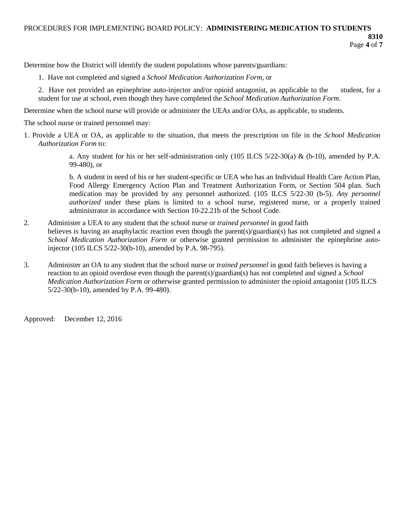Determine how the District will identify the student populations whose parents/guardians:

- 1. Have not completed and signed a *School Medication Authorization Form*, or
- 2. Have not provided an epinephrine auto-injector and/or opioid antagonist, as applicable to the student, for a student for use at school, even though they have completed the *School Medication Authorization Form*.

Determine when the school nurse will provide or administer the UEAs and/or OAs, as applicable, to students.

The school nurse or trained personnel may:

1. Provide a UEA or OA, as applicable to the situation, that meets the prescription on file in the *School Medication Authorization Form* to:

> a. Any student for his or her self-administration only (105 ILCS  $5/22-30(a)$  & (b-10), amended by P.A. 99-480), or

> b. A student in need of his or her student-specific or UEA who has an Individual Health Care Action Plan, Food Allergy Emergency Action Plan and Treatment Authorization Form, or Section 504 plan. Such medication may be provided by any personnel authorized. (105 ILCS 5/22-30 (b-5). *Any personnel authorized* under these plans is limited to a school nurse, registered nurse, or a properly trained administrator in accordance with Section 10-22.21b of the School Code.

- 2. Administer a UEA to any student that the school nurse or *trained personnel* in good faith believes is having an anaphylactic reaction even though the parent(s)/guardian(s) has not completed and signed a *School Medication Authorization Form* or otherwise granted permission to administer the epinephrine autoinjector (105 ILCS 5/22-30(b-10), amended by P.A. 98-795).
- 3. Administer an OA to any student that the school nurse or *trained personnel* in good faith believes is having a reaction to an opioid overdose even though the parent(s)/guardian(s) has not completed and signed a *School Medication Authorization Form* or otherwise granted permission to administer the opioid antagonist (105 ILCS 5/22-30(b-10), amended by P.A. 99-480).

Approved: December 12, 2016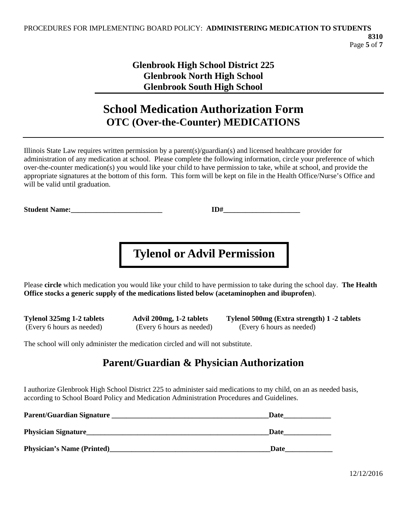## **Glenbrook High School District 225 Glenbrook North High School Glenbrook South High School**

# **School Medication Authorization Form OTC (Over-the-Counter) MEDICATIONS**

Illinois State Law requires written permission by a parent(s)/guardian(s) and licensed healthcare provider for administration of any medication at school. Please complete the following information, circle your preference of which over-the-counter medication(s) you would like your child to have permission to take, while at school, and provide the appropriate signatures at the bottom of this form. This form will be kept on file in the Health Office/Nurse's Office and will be valid until graduation.

**Student Name:**  $ID^{\#}$ 

# **Tylenol or Advil Permission**

Please **circle** which medication you would like your child to have permission to take during the school day. **The Health Office stocks a generic supply of the medications listed below (acetaminophen and ibuprofen**).

**Tylenol 325mg 1-2 tablets Advil 200mg, 1-2 tablets Tylenol 500mg (Extra strength) 1 -2 tablets** (Every 6 hours as needed) (Every 6 hours as needed) (Every 6 hours as needed)

The school will only administer the medication circled and will not substitute.

# **Parent/Guardian & Physician Authorization**

I authorize Glenbrook High School District 225 to administer said medications to my child, on an as needed basis, according to School Board Policy and Medication Administration Procedures and Guidelines.

| Parent/Guardian Signature         | Date |  |
|-----------------------------------|------|--|
| <b>Physician Signature</b>        | Date |  |
| <b>Physician's Name (Printed)</b> | Date |  |

12/12/2016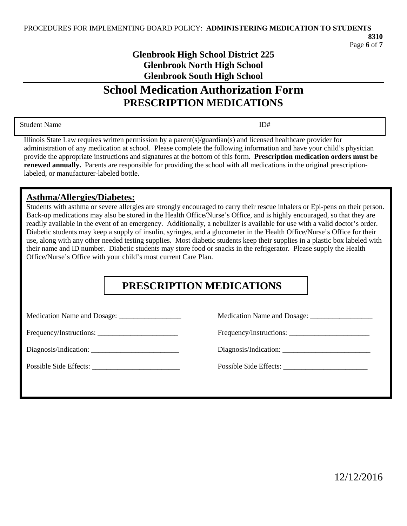## **Glenbrook High School District 225 Glenbrook North High School Glenbrook South High School**

# **School Medication Authorization Form PRESCRIPTION MEDICATIONS**

Student Name ID#

Illinois State Law requires written permission by a parent(s)/guardian(s) and licensed healthcare provider for administration of any medication at school. Please complete the following information and have your child's physician provide the appropriate instructions and signatures at the bottom of this form. **Prescription medication orders must be renewed annually.** Parents are responsible for providing the school with all medications in the original prescriptionlabeled, or manufacturer-labeled bottle.

## **Asthma/Allergies/Diabetes:**

Students with asthma or severe allergies are strongly encouraged to carry their rescue inhalers or Epi-pens on their person. Back-up medications may also be stored in the Health Office/Nurse's Office, and is highly encouraged, so that they are readily available in the event of an emergency. Additionally, a nebulizer is available for use with a valid doctor's order. Diabetic students may keep a supply of insulin, syringes, and a glucometer in the Health Office/Nurse's Office for their use, along with any other needed testing supplies. Most diabetic students keep their supplies in a plastic box labeled with their name and ID number. Diabetic students may store food or snacks in the refrigerator. Please supply the Health Office/Nurse's Office with your child's most current Care Plan.

# **PRESCRIPTION MEDICATIONS**

Medication Name and Dosage: \_\_\_\_\_\_\_\_\_\_\_\_\_\_\_\_\_ Medication Name and Dosage: \_\_\_\_\_\_\_\_\_\_\_\_\_\_\_\_\_

Frequency/Instructions: \_\_\_\_\_\_\_\_\_\_\_\_\_\_\_\_\_\_\_\_\_\_ Frequency/Instructions: \_\_\_\_\_\_\_\_\_\_\_\_\_\_\_\_\_\_\_\_\_\_

Diagnosis/Indication: \_\_\_\_\_\_\_\_\_\_\_\_\_\_\_\_\_\_\_\_\_\_\_\_ Diagnosis/Indication: \_\_\_\_\_\_\_\_\_\_\_\_\_\_\_\_\_\_\_\_\_\_\_\_

Possible Side Effects: \_\_\_\_\_\_\_\_\_\_\_\_\_\_\_\_\_\_\_\_\_\_\_\_ Possible Side Effects: \_\_\_\_\_\_\_\_\_\_\_\_\_\_\_\_\_\_\_\_\_\_\_

12/12/2016